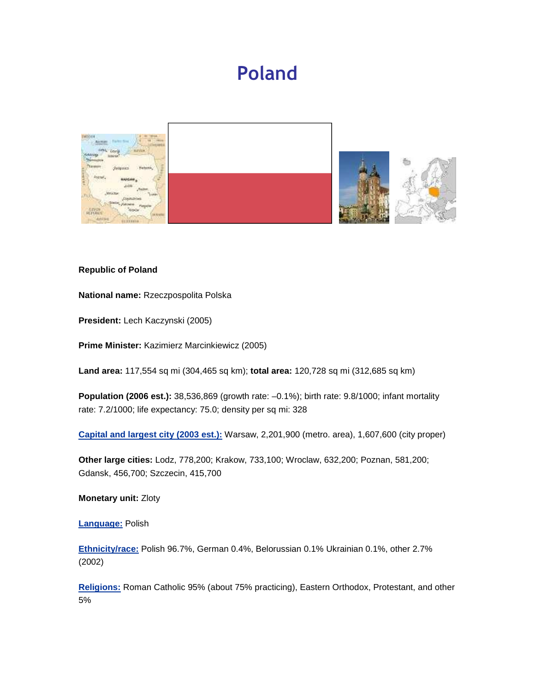# Poland



#### **Republic of Poland**

**National name:** Rzeczpospolita Polska

**President:** Lech Kaczynski (2005)

**Prime Minister:** Kazimierz Marcinkiewicz (2005)

**Land area:** 117,554 sq mi (304,465 sq km); **total area:** 120,728 sq mi (312,685 sq km)

**Population (2006 est.):** 38,536,869 (growth rate: –0.1%); birth rate: 9.8/1000; infant mortality rate: 7.2/1000; life expectancy: 75.0; density per sq mi: 328

**Capital and largest city (2003 est.):** Warsaw, 2,201,900 (metro. area), 1,607,600 (city proper)

**Other large cities:** Lodz, 778,200; Krakow, 733,100; Wroclaw, 632,200; Poznan, 581,200; Gdansk, 456,700; Szczecin, 415,700

**Monetary unit:** Zloty

**Language:** Polish

**Ethnicity/race:** Polish 96.7%, German 0.4%, Belorussian 0.1% Ukrainian 0.1%, other 2.7% (2002)

**Religions:** Roman Catholic 95% (about 75% practicing), Eastern Orthodox, Protestant, and other 5%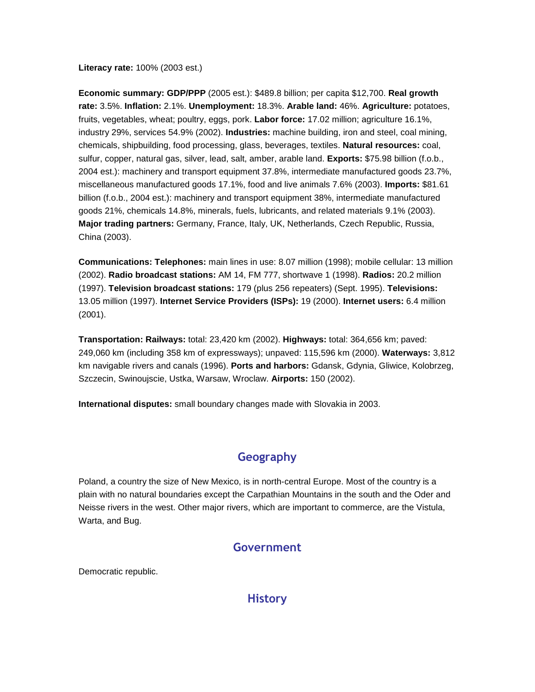**Literacy rate:** 100% (2003 est.)

**Economic summary: GDP/PPP** (2005 est.): \$489.8 billion; per capita \$12,700. **Real growth rate:** 3.5%. **Inflation:** 2.1%. **Unemployment:** 18.3%. **Arable land:** 46%. **Agriculture:** potatoes, fruits, vegetables, wheat; poultry, eggs, pork. **Labor force:** 17.02 million; agriculture 16.1%, industry 29%, services 54.9% (2002). **Industries:** machine building, iron and steel, coal mining, chemicals, shipbuilding, food processing, glass, beverages, textiles. **Natural resources:** coal, sulfur, copper, natural gas, silver, lead, salt, amber, arable land. **Exports:** \$75.98 billion (f.o.b., 2004 est.): machinery and transport equipment 37.8%, intermediate manufactured goods 23.7%, miscellaneous manufactured goods 17.1%, food and live animals 7.6% (2003). **Imports:** \$81.61 billion (f.o.b., 2004 est.): machinery and transport equipment 38%, intermediate manufactured goods 21%, chemicals 14.8%, minerals, fuels, lubricants, and related materials 9.1% (2003). **Major trading partners:** Germany, France, Italy, UK, Netherlands, Czech Republic, Russia, China (2003).

**Communications: Telephones:** main lines in use: 8.07 million (1998); mobile cellular: 13 million (2002). **Radio broadcast stations:** AM 14, FM 777, shortwave 1 (1998). **Radios:** 20.2 million (1997). **Television broadcast stations:** 179 (plus 256 repeaters) (Sept. 1995). **Televisions:** 13.05 million (1997). **Internet Service Providers (ISPs):** 19 (2000). **Internet users:** 6.4 million (2001).

**Transportation: Railways:** total: 23,420 km (2002). **Highways:** total: 364,656 km; paved: 249,060 km (including 358 km of expressways); unpaved: 115,596 km (2000). **Waterways:** 3,812 km navigable rivers and canals (1996). **Ports and harbors:** Gdansk, Gdynia, Gliwice, Kolobrzeg, Szczecin, Swinoujscie, Ustka, Warsaw, Wroclaw. **Airports:** 150 (2002).

**International disputes:** small boundary changes made with Slovakia in 2003.

## Geography

Poland, a country the size of New Mexico, is in north-central Europe. Most of the country is a plain with no natural boundaries except the Carpathian Mountains in the south and the Oder and Neisse rivers in the west. Other major rivers, which are important to commerce, are the Vistula, Warta, and Bug.

## Government

Democratic republic.

#### **History**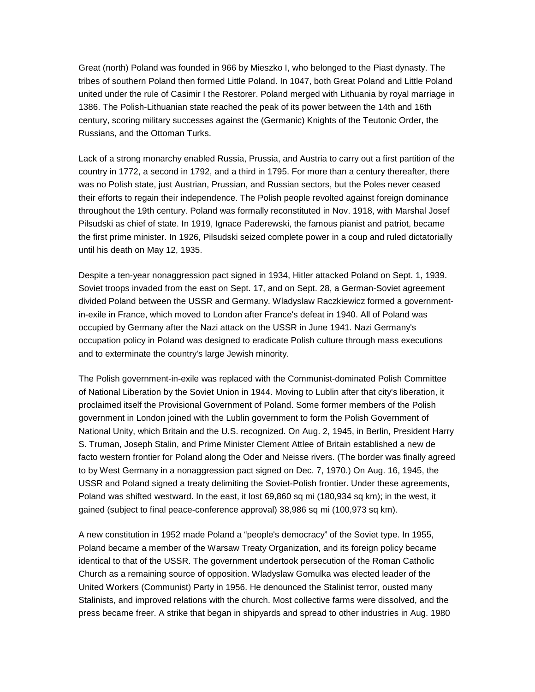Great (north) Poland was founded in 966 by Mieszko I, who belonged to the Piast dynasty. The tribes of southern Poland then formed Little Poland. In 1047, both Great Poland and Little Poland united under the rule of Casimir I the Restorer. Poland merged with Lithuania by royal marriage in 1386. The Polish-Lithuanian state reached the peak of its power between the 14th and 16th century, scoring military successes against the (Germanic) Knights of the Teutonic Order, the Russians, and the Ottoman Turks.

Lack of a strong monarchy enabled Russia, Prussia, and Austria to carry out a first partition of the country in 1772, a second in 1792, and a third in 1795. For more than a century thereafter, there was no Polish state, just Austrian, Prussian, and Russian sectors, but the Poles never ceased their efforts to regain their independence. The Polish people revolted against foreign dominance throughout the 19th century. Poland was formally reconstituted in Nov. 1918, with Marshal Josef Pilsudski as chief of state. In 1919, Ignace Paderewski, the famous pianist and patriot, became the first prime minister. In 1926, Pilsudski seized complete power in a coup and ruled dictatorially until his death on May 12, 1935.

Despite a ten-year nonaggression pact signed in 1934, Hitler attacked Poland on Sept. 1, 1939. Soviet troops invaded from the east on Sept. 17, and on Sept. 28, a German-Soviet agreement divided Poland between the USSR and Germany. Wladyslaw Raczkiewicz formed a governmentin-exile in France, which moved to London after France's defeat in 1940. All of Poland was occupied by Germany after the Nazi attack on the USSR in June 1941. Nazi Germany's occupation policy in Poland was designed to eradicate Polish culture through mass executions and to exterminate the country's large Jewish minority.

The Polish government-in-exile was replaced with the Communist-dominated Polish Committee of National Liberation by the Soviet Union in 1944. Moving to Lublin after that city's liberation, it proclaimed itself the Provisional Government of Poland. Some former members of the Polish government in London joined with the Lublin government to form the Polish Government of National Unity, which Britain and the U.S. recognized. On Aug. 2, 1945, in Berlin, President Harry S. Truman, Joseph Stalin, and Prime Minister Clement Attlee of Britain established a new de facto western frontier for Poland along the Oder and Neisse rivers. (The border was finally agreed to by West Germany in a nonaggression pact signed on Dec. 7, 1970.) On Aug. 16, 1945, the USSR and Poland signed a treaty delimiting the Soviet-Polish frontier. Under these agreements, Poland was shifted westward. In the east, it lost 69,860 sq mi (180,934 sq km); in the west, it gained (subject to final peace-conference approval) 38,986 sq mi (100,973 sq km).

A new constitution in 1952 made Poland a "people's democracy" of the Soviet type. In 1955, Poland became a member of the Warsaw Treaty Organization, and its foreign policy became identical to that of the USSR. The government undertook persecution of the Roman Catholic Church as a remaining source of opposition. Wladyslaw Gomulka was elected leader of the United Workers (Communist) Party in 1956. He denounced the Stalinist terror, ousted many Stalinists, and improved relations with the church. Most collective farms were dissolved, and the press became freer. A strike that began in shipyards and spread to other industries in Aug. 1980